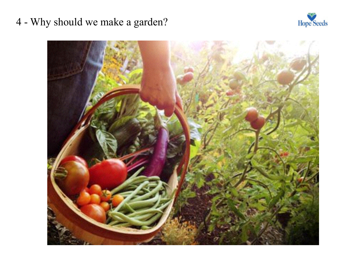## 4 - Why should we make a garden?



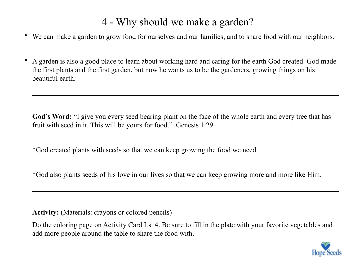## 4 - Why should we make a garden?

- We can make a garden to grow food for ourselves and our families, and to share food with our neighbors.
- A garden is also a good place to learn about working hard and caring for the earth God created. God made the first plants and the first garden, but now he wants us to be the gardeners, growing things on his beautiful earth.

God's Word: "I give you every seed bearing plant on the face of the whole earth and every tree that has fruit with seed in it. This will be yours for food." Genesis 1:29

\*God created plants with seeds so that we can keep growing the food we need.

\*God also plants seeds of his love in our lives so that we can keep growing more and more like Him.

**Activity:** (Materials: crayons or colored pencils)

Do the coloring page on Activity Card Ls. 4. Be sure to fill in the plate with your favorite vegetables and add more people around the table to share the food with.